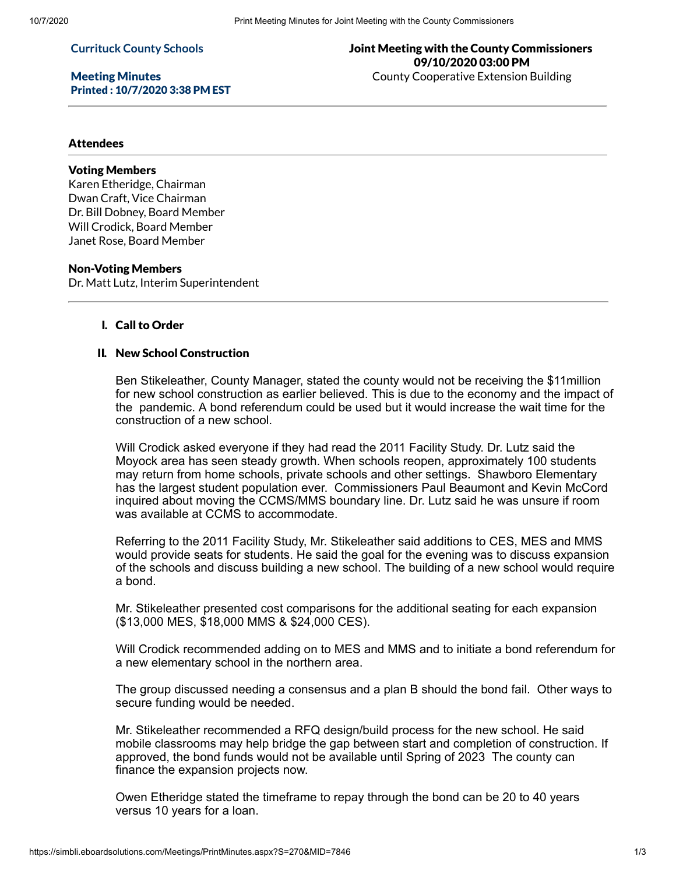#### **Currituck County Schools**

Meeting Minutes Printed : 10/7/2020 3:38 PM EST

# Joint Meeting with the County Commissioners 09/10/2020 03:00 PM County Cooperative Extension Building

## **Attendees**

# Voting Members

Karen Etheridge, Chairman Dwan Craft, Vice Chairman Dr. Bill Dobney, Board Member Will Crodick, Board Member Janet Rose, Board Member

#### Non-Voting Members

Dr. Matt Lutz, Interim Superintendent

## I. Call to Order

## II. New School Construction

Ben Stikeleather, County Manager, stated the county would not be receiving the \$11million for new school construction as earlier believed. This is due to the economy and the impact of the pandemic. A bond referendum could be used but it would increase the wait time for the construction of a new school.

Will Crodick asked everyone if they had read the 2011 Facility Study. Dr. Lutz said the Moyock area has seen steady growth. When schools reopen, approximately 100 students may return from home schools, private schools and other settings. Shawboro Elementary has the largest student population ever. Commissioners Paul Beaumont and Kevin McCord inquired about moving the CCMS/MMS boundary line. Dr. Lutz said he was unsure if room was available at CCMS to accommodate.

Referring to the 2011 Facility Study, Mr. Stikeleather said additions to CES, MES and MMS would provide seats for students. He said the goal for the evening was to discuss expansion of the schools and discuss building a new school. The building of a new school would require a bond.

Mr. Stikeleather presented cost comparisons for the additional seating for each expansion (\$13,000 MES, \$18,000 MMS & \$24,000 CES).

Will Crodick recommended adding on to MES and MMS and to initiate a bond referendum for a new elementary school in the northern area.

The group discussed needing a consensus and a plan B should the bond fail. Other ways to secure funding would be needed.

Mr. Stikeleather recommended a RFQ design/build process for the new school. He said mobile classrooms may help bridge the gap between start and completion of construction. If approved, the bond funds would not be available until Spring of 2023 The county can finance the expansion projects now.

Owen Etheridge stated the timeframe to repay through the bond can be 20 to 40 years versus 10 years for a loan.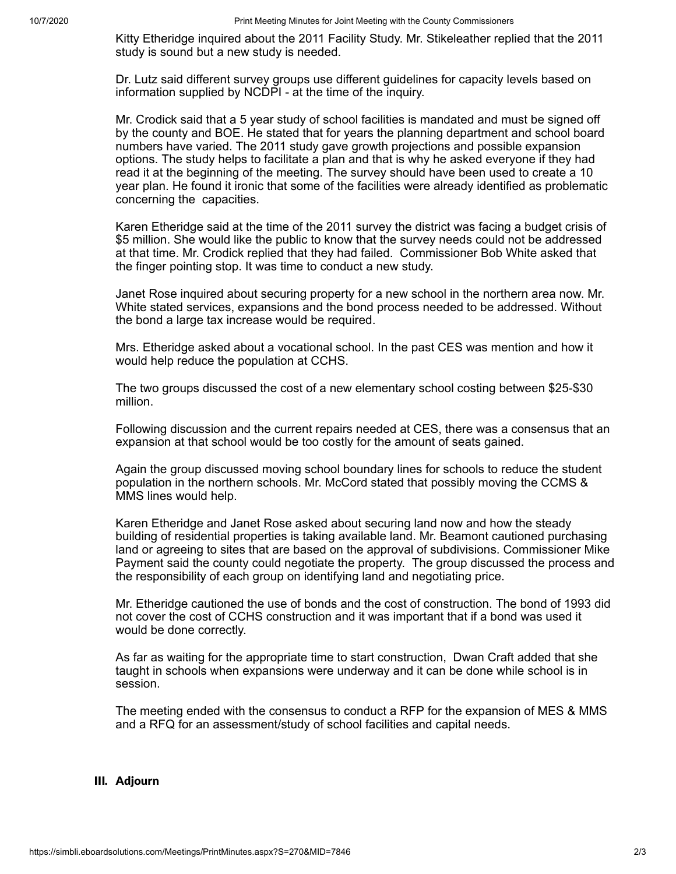Kitty Etheridge inquired about the 2011 Facility Study. Mr. Stikeleather replied that the 2011 study is sound but a new study is needed.

Dr. Lutz said different survey groups use different guidelines for capacity levels based on information supplied by NCDPI - at the time of the inquiry.

Mr. Crodick said that a 5 year study of school facilities is mandated and must be signed off by the county and BOE. He stated that for years the planning department and school board numbers have varied. The 2011 study gave growth projections and possible expansion options. The study helps to facilitate a plan and that is why he asked everyone if they had read it at the beginning of the meeting. The survey should have been used to create a 10 year plan. He found it ironic that some of the facilities were already identified as problematic concerning the capacities.

Karen Etheridge said at the time of the 2011 survey the district was facing a budget crisis of \$5 million. She would like the public to know that the survey needs could not be addressed at that time. Mr. Crodick replied that they had failed. Commissioner Bob White asked that the finger pointing stop. It was time to conduct a new study.

Janet Rose inquired about securing property for a new school in the northern area now. Mr. White stated services, expansions and the bond process needed to be addressed. Without the bond a large tax increase would be required.

Mrs. Etheridge asked about a vocational school. In the past CES was mention and how it would help reduce the population at CCHS.

The two groups discussed the cost of a new elementary school costing between \$25-\$30 million.

Following discussion and the current repairs needed at CES, there was a consensus that an expansion at that school would be too costly for the amount of seats gained.

Again the group discussed moving school boundary lines for schools to reduce the student population in the northern schools. Mr. McCord stated that possibly moving the CCMS & MMS lines would help.

Karen Etheridge and Janet Rose asked about securing land now and how the steady building of residential properties is taking available land. Mr. Beamont cautioned purchasing land or agreeing to sites that are based on the approval of subdivisions. Commissioner Mike Payment said the county could negotiate the property. The group discussed the process and the responsibility of each group on identifying land and negotiating price.

Mr. Etheridge cautioned the use of bonds and the cost of construction. The bond of 1993 did not cover the cost of CCHS construction and it was important that if a bond was used it would be done correctly.

As far as waiting for the appropriate time to start construction, Dwan Craft added that she taught in schools when expansions were underway and it can be done while school is in session.

The meeting ended with the consensus to conduct a RFP for the expansion of MES & MMS and a RFQ for an assessment/study of school facilities and capital needs.

### III. Adjourn